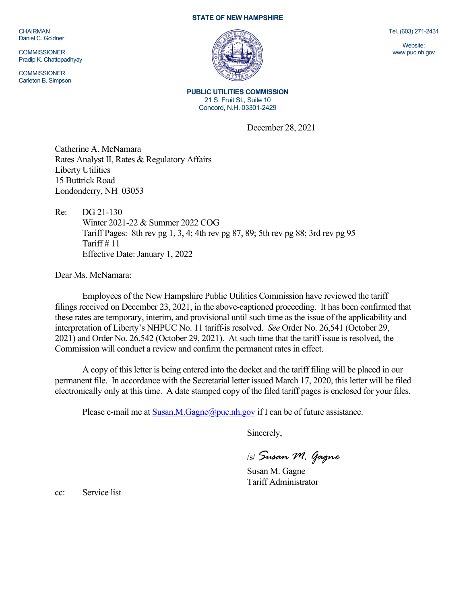CHAIRMAN Daniel C. Goldner

**COMMISSIONER** Pradip K. Chattopadhyay

**COMMISSIONER** Carleton B. Simpson

## **STATE OF NEW HAMPSHIRE**



**PUBLIC UTILITIES COMMISSION** 21 S. Fruit St., Suite 10 Concord, N.H. 03301-2429

December 28, 2021

Catherine A. McNamara Rates Analyst II, Rates & Regulatory Affairs Liberty Utilities 15 Buttrick Road Londonderry, NH 03053

Re: DG 21-130 Winter 2021-22 & Summer 2022 COG Tariff Pages: 8th rev pg 1, 3, 4; 4th rev pg 87, 89; 5th rev pg 88; 3rd rev pg 95 Tariff  $\#$  11 Effective Date: January 1, 2022

Dear Ms. McNamara:

Employees of the New Hampshire Public Utilities Commission have reviewed the tariff filings received on December 23, 2021, in the above-captioned proceeding. It has been confirmed that these rates are temporary, interim, and provisional until such time as the issue of the applicability and interpretation of Liberty's NHPUC No. 11 tariff is resolved. *See* Order No. 26,541 (October 29, 2021) and Order No. 26,542 (October 29, 2021). At such time that the tariff issue is resolved, the Commission will conduct a review and confirm the permanent rates in effect.

A copy of this letter is being entered into the docket and the tariff filing will be placed in our permanent file. In accordance with the Secretarial letter issued March 17, 2020, this letter will be filed electronically only at this time. A date stamped copy of the filed tariff pages is enclosed for your files.

Please e-mail me at  $S$ usan.M.Gagne@puc.nh.gov if I can be of future assistance.

Sincerely,

/s/ *Susan M. Gagne*

Susan M. Gagne Tariff Administrator

cc: Service list

Tel. (603) 271-2431

Website: www.puc.nh.gov